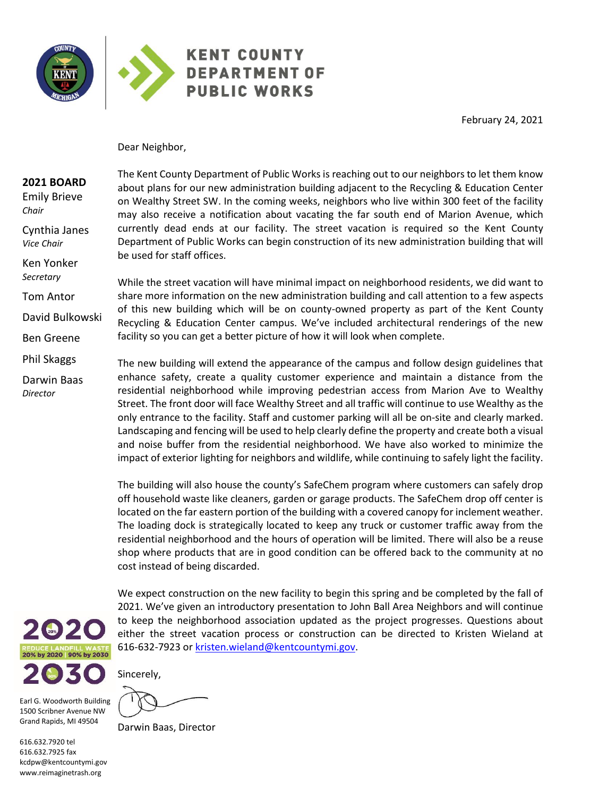



February 24, 2021

Dear Neighbor,

| <b>2021 BOARD</b><br><b>Emily Brieve</b><br>Chair | The Kent County Department of Public Works is reaching out to our neighbors to let them know<br>about plans for our new administration building adjacent to the Recycling & Education Center<br>on Wealthy Street SW. In the coming weeks, neighbors who live within 300 feet of the facility<br>may also receive a notification about vacating the far south end of Marion Avenue, which |
|---------------------------------------------------|-------------------------------------------------------------------------------------------------------------------------------------------------------------------------------------------------------------------------------------------------------------------------------------------------------------------------------------------------------------------------------------------|
| Cynthia Janes<br>Vice Chair                       | currently dead ends at our facility. The street vacation is required so the Kent County<br>Department of Public Works can begin construction of its new administration building that will                                                                                                                                                                                                 |
| Ken Yonker                                        | be used for staff offices.                                                                                                                                                                                                                                                                                                                                                                |
| Secretary                                         | While the street vacation will have minimal impact on neighborhood residents, we did want to                                                                                                                                                                                                                                                                                              |
| <b>Tom Antor</b>                                  | share more information on the new administration building and call attention to a few aspects                                                                                                                                                                                                                                                                                             |
| David Bulkowski                                   | of this new building which will be on county-owned property as part of the Kent County<br>Recycling & Education Center campus. We've included architectural renderings of the new                                                                                                                                                                                                         |
| <b>Ben Greene</b>                                 | facility so you can get a better picture of how it will look when complete.                                                                                                                                                                                                                                                                                                               |
| <b>Phil Skaggs</b>                                | The new building will extend the appearance of the campus and follow design guidelines that                                                                                                                                                                                                                                                                                               |
| Darwin Baas<br>Director                           | enhance safety, create a quality customer experience and maintain a distance from the<br>residential neighborhood while improving pedestrian access from Marion Ave to Wealthy<br>Street. The front door will face Wealthy Street and all traffic will continue to use Wealthy as the                                                                                                     |

residential neighborhood while improving pedestrian access from Marion Ave to Wealthy Street. The front door will face Wealthy Street and all traffic will continue to use Wealthy as the only entrance to the facility. Staff and customer parking will all be on-site and clearly marked. Landscaping and fencing will be used to help clearly define the property and create both a visual and noise buffer from the residential neighborhood. We have also worked to minimize the impact of exterior lighting for neighbors and wildlife, while continuing to safely light the facility.

The building will also house the county's SafeChem program where customers can safely drop off household waste like cleaners, garden or garage products. The SafeChem drop off center is located on the far eastern portion of the building with a covered canopy for inclement weather. The loading dock is strategically located to keep any truck or customer traffic away from the residential neighborhood and the hours of operation will be limited. There will also be a reuse shop where products that are in good condition can be offered back to the community at no cost instead of being discarded.



We expect construction on the new facility to begin this spring and be completed by the fall of 2021. We've given an introductory presentation to John Ball Area Neighbors and will continue to keep the neighborhood association updated as the project progresses. Questions about either the street vacation process or construction can be directed to Kristen Wieland at 616-632-7923 or [kristen.wieland@kentcountymi.gov.](mailto:kristen.wieland@kentcountymi.gov)

Sincerely,

Earl G. Woodworth Building 1500 Scribner Avenue NW Grand Rapids, MI 49504

616.632.7920 tel 616.632.7925 fax kcdpw@kentcountymi.gov www.reimaginetrash.org

Darwin Baas, Director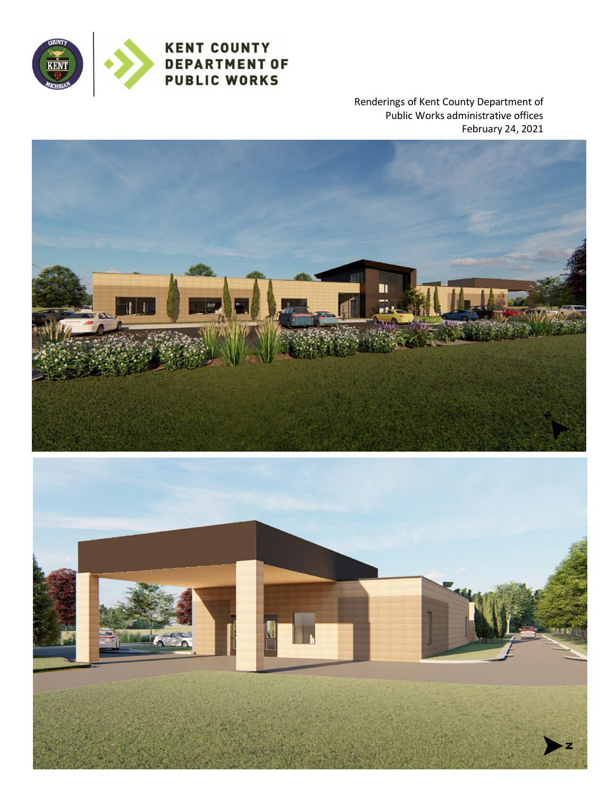

**KENT COUNTY DEPARTMENT OF** 

**PUBLIC WORKS** 

Renderings of Kent County Department of Public Works administrative offices February 24, 2021